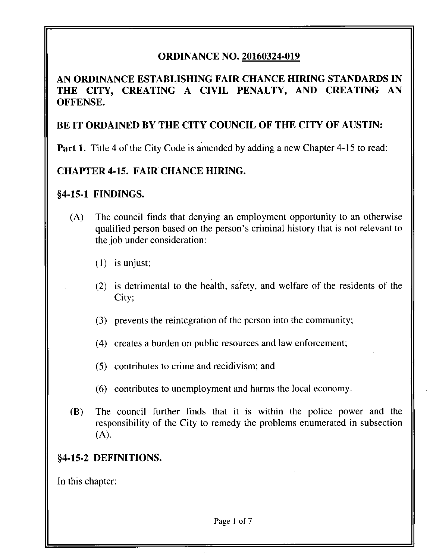## **ORDINANCE NO. 20160324-019**

**AN ORDINANCE ESTABLISHING FAIR CHANCE HIRING STANDARDS IN THE CITY, CREATING A CIVIL PENALTY, AND CREATING AN OFFENSE.** 

### **BE IT ORDAINED BY THE CITY COUNCIL OF THE CITY OF AUSTIN:**

**Part 1. Title 4 of the City Code is amended by adding a new Chapter 4-15 to read:** 

### **CHAPTER 4-15. FAIR CHANCE HIRING.**

#### **§4-15-1 FINDINGS.**

- (A) The council finds that denying an employment opportunity to an otherwise qualified person based on the person's criminal history that is not relevant to the job under consideration:
	- (1) is unjust;
	- (2) is detrimental to the health, safety, and welfare of the residents of the City;
	- (3) prevents the reintegration of the person into the community;
	- (4) creates a burden on public resources and law enforcement;
	- (5) contributes to crime and recidivism; and
	- (6) contributes to unemployment and harms the local economy.
- (B) The council further finds that it is within the police power and the responsibility of the City to remedy the problems enumerated in subsection (A).

### **§4-15-2 DEFINITIONS.**

In this chapter: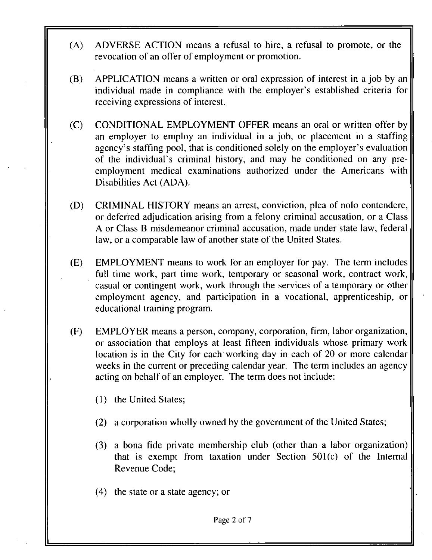- (A) ADVERSE ACTION means a refusal to hire, a refusal to promote, or the revocation of an offer of employment or promotion.
- (B) APPLICATION means a written or oral expression of interest in a job by an individual made in compliance with the employer's established criteria for receiving expressions of interest.
- (C) CONDITIONAL EMPLOYMENT OFFER means an oral or written offer by an employer to employ an individual in a job, or placement in a staffing agency's staffing pool, that is conditioned solely on the employer's evaluation of the individual's criminal history, and may be conditioned on any preemployment medical examinations authorized under the Americans with Disabilities Act (ADA).
- (D) CRIMINAL HISTORY means an arrest, conviction, plea of nolo contendere, or deferred adjudication arising from a felony criminal accusation, or a Class A or Class B misdemeanor criminal accusation, made under state law, federal law, or a comparable law of another state of the United States.
- (E) EMPLOYMENT means to work for an employer for pay. The term includes full time work, part time work, temporary or seasonal work, contract work, casual or contingent work, work through the services of a temporary or other employment agency, and participation in a vocational, apprenticeship, or educational training program.
- (F) EMPLOYER means a person, company, corporation, firm, labor organization, or association that employs at least fifteen individuals whose primary work location is in the City for each working day in each of 20 or more calendar weeks in the current or preceding calendar year. The term includes an agency acting on behalf of an employer. The term does not include:
	- (1) the United States;
	- (2) a corporation wholly owned by the government of the United States;
	- (3) a bona fide private membership club (other than a labor organization) that is exempt from taxation under Section 501(c) of the Internal Revenue Code;
	- (4) the state or a state agency; or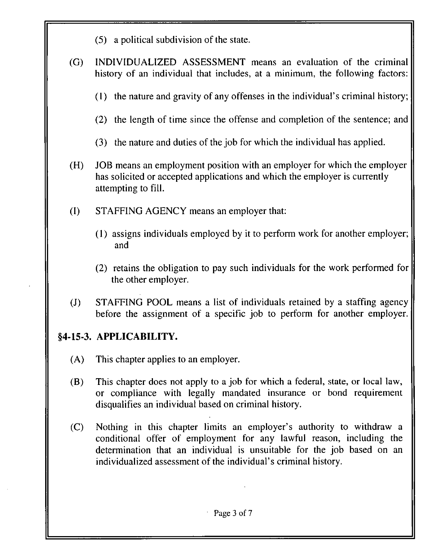- (5) a political subdivision of the state.
- (G) INDIVIDUALIZED ASSESSMENT means an evaluation of the criminal history of an individual that includes, at a minimum, the following factors:
	- (1) the nature and gravity of any offenses in the individual's criminal history;
	- (2) the length of time since the offense and completion of the sentence; and
	- (3) the nature and duties of the job for which the individual has applied.
- (H) JOB means an employment position with an employer for which the employer has solicited or accepted applications and which the employer is currently attempting to fill.
- (I) STAFFING AGENCY means an employer that:
	- (1) assigns individuals employed by it to perform work for another employer; and
	- (2) retains the obligation to pay such individuals for the work performed for the other employer.
- (J) STAFFING POOL means a list of individuals retained by a staffing agency before the assignment of a specific job to perform for another employer.

## **§4-15-3. APPLICABILITY.**

- (A) This chapter applies to an employer.
- (B) This chapter does not apply to a job for which a federal, state, or local law, or compliance with legally mandated insurance or bond requirement disqualifies an individual based on criminal history.
- (C) Nothing in this chapter limits an employer's authority to withdraw a conditional offer of employment for any lawful reason, including the determination that an individual is unsuitable for the job based on an individualized assessment of the individual's criminal history.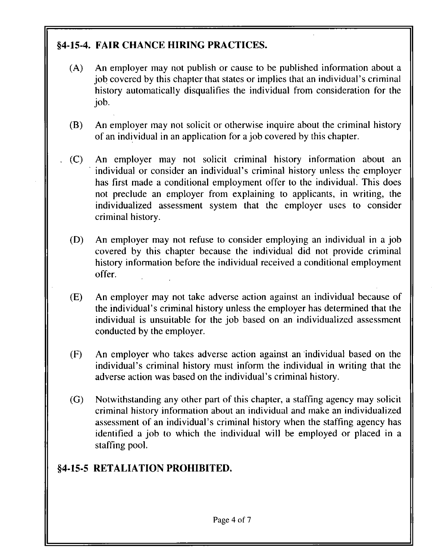# **§4-15-4. FAIR CHANCE HIRING PRACTICES.**

- (A) An employer may not publish or cause to be published information about a job covered by this chapter that states or implies that an individual's criminal history automatically disqualifies the individual from consideration for the job.
- (B) An employer may not solicit or otherwise inquire about the criminal history of an individual in an application for a job covered by this chapter.
- . (C) An employer may not solicit criminal history information about an individual or consider an individual's criminal history unless the employer has first made a conditional employment offer to the individual. This does not preclude an employer from explaining to applicants, in writing, the individualized assessment system that the employer uses to consider criminal history.
- (D) An employer may not refuse to consider employing an individual in a job covered by this chapter because the individual did not provide criminal history information before the individual received a conditional employment offer.
- (E) An employer may not take adverse action against an individual because of the individual's criminal history unless the employer has determined that the individual is unsuitable for the job based on an individualized assessment conducted by the employer.
- (F) An employer who takes adverse action against an individual based on the individual's criminal history must inform the individual in writing that the adverse action was based on the individual's criminal history.
- (G) Notwithstanding any other part of this chapter, a staffing agency may solicit criminal history information about an individual and make an individualized assessment of an individual's criminal history when the staffing agency has identified a job to which the individual will be employed or placed in a staffing pool.

## **§4-15-5 RETALIATION PROHIBITED.**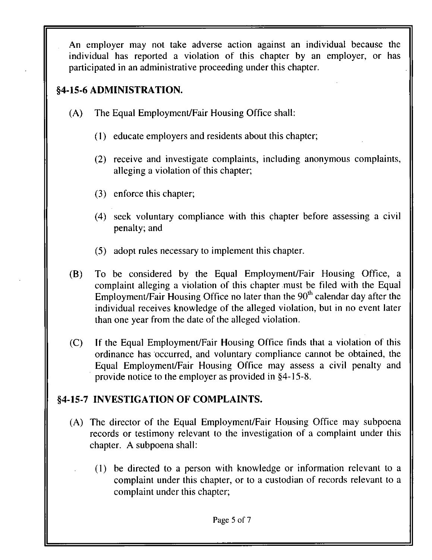An employer may not take adverse action against an individual because the individual has reported a violation of this chapter by an employer, or has participated in an administrative proceeding under this chapter.

## **§4-15-6 ADMINISTRATION.**

- (A) The Equal Employment/Fair Housing Office shall:
	- (1) educate employers and residents about this chapter;
	- (2) receive and investigate complaints, including anonymous complaints, alleging a violation of this chapter;
	- (3) enforce this chapter;
	- (4) seek voluntary compliance with this chapter before assessing a civil penalty; and
	- (5) adopt rules necessary to implement this chapter.
- (B) To be considered by the Equal Employment/Fair Housing Office, a complaint alleging a violation of this chapter must be filed with the Equal Employment/Fair Housing Office no later than the  $90<sup>th</sup>$  calendar day after the individual receives knowledge of the alleged violation, but in no event later than one year from the date of the alleged violation.
- (C) If the Equal Employment/Fair Housing Office finds that a violation of this ordinance has occurred, and voluntary compliance cannot be obtained, the Equal Employment/Fair Housing Office may assess a civil penalty and provide notice to the employer as provided in §4-15-8.

### **§4-15-7 INVESTIGATION OF COMPLAINTS.**

- (A) The director of the Equal Employment/Fair Housing Office may subpoena records or testimony relevant to the investigation of a complaint under this chapter. A subpoena shall:
	- (1) be directed to a person with knowledge or information relevant to a complaint under this chapter, or to a custodian of records relevant to a complaint under this chapter;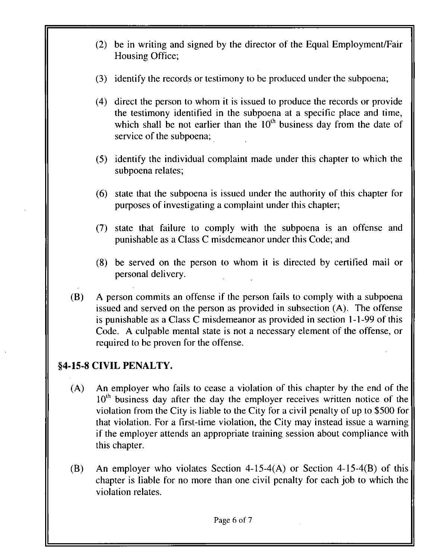- (2) be in writing and signed by the director of the Equal Employment/Fair Housing Office;
- (3) identify the records or testimony to be produced under the subpoena;
- (4) direct the person to whom it is issued to produce the records or provide the testimony identified in the subpoena at a specific place and time, which shall be not earlier than the  $10<sup>th</sup>$  business day from the date of service of the subpoena;
- (5) identify the individual complaint made under this chapter to which the subpoena relates;
- (6) state that the subpoena is issued under the authority of this chapter for purposes of investigating a complaint under this chapter;
- (7) state that failure to comply with the subpoena is an offense and punishable as a Class C misdemeanor under this Code; and
- (8) be served on the person to whom it is directed by certified mail or personal delivery.
- (B) A person commits an offense if the person fails to comply with a subpoena issued and served on the person as provided in subsection (A). The offense is punishable as a Class C misdemeanor as provided in section 1 -1 -99 of this Code. A culpable mental state is not a necessary element of the offense, or required to be proven for the offense.

## **§4-15-8 CIVIL PENALTY.**

- (A) An employer who fails to cease a violation of this chapter by the end of the  $10<sup>th</sup>$  business day after the day the employer receives written notice of the violation from the City is liable to the City for a civil penalty of up to \$500 for that violation. For a first-time violation, the City may instead issue a warning if the employer attends an appropriate training session about compliance with this chapter.
- (B) An employer who violates Section 4-15-4(A) or Section 4-15-4(B) of this chapter is liable for no more than one civil penalty for each job to which the violation relates.